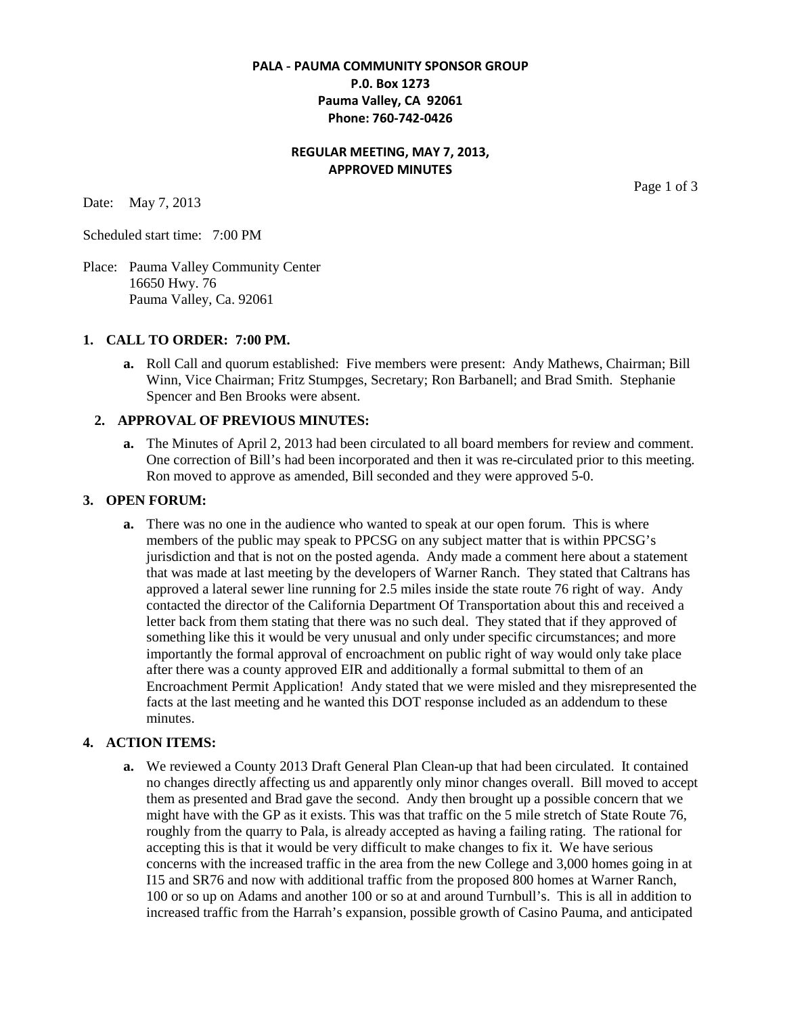# **PALA - PAUMA COMMUNITY SPONSOR GROUP P.0. Box 1273 Pauma Valley, CA 92061 Phone: 760-742-0426**

## **REGULAR MEETING, MAY 7, 2013, APPROVED MINUTES**

Date: May 7, 2013

Scheduled start time: 7:00 PM

Place: Pauma Valley Community Center 16650 Hwy. 76 Pauma Valley, Ca. 92061

#### **1. CALL TO ORDER: 7:00 PM.**

**a.** Roll Call and quorum established: Five members were present: Andy Mathews, Chairman; Bill Winn, Vice Chairman; Fritz Stumpges, Secretary; Ron Barbanell; and Brad Smith. Stephanie Spencer and Ben Brooks were absent.

## **2. APPROVAL OF PREVIOUS MINUTES:**

**a.** The Minutes of April 2, 2013 had been circulated to all board members for review and comment. One correction of Bill's had been incorporated and then it was re-circulated prior to this meeting. Ron moved to approve as amended, Bill seconded and they were approved 5-0.

### **3. OPEN FORUM:**

**a.** There was no one in the audience who wanted to speak at our open forum. This is where members of the public may speak to PPCSG on any subject matter that is within PPCSG's jurisdiction and that is not on the posted agenda. Andy made a comment here about a statement that was made at last meeting by the developers of Warner Ranch. They stated that Caltrans has approved a lateral sewer line running for 2.5 miles inside the state route 76 right of way. Andy contacted the director of the California Department Of Transportation about this and received a letter back from them stating that there was no such deal. They stated that if they approved of something like this it would be very unusual and only under specific circumstances; and more importantly the formal approval of encroachment on public right of way would only take place after there was a county approved EIR and additionally a formal submittal to them of an Encroachment Permit Application! Andy stated that we were misled and they misrepresented the facts at the last meeting and he wanted this DOT response included as an addendum to these minutes.

## **4. ACTION ITEMS:**

**a.** We reviewed a County 2013 Draft General Plan Clean-up that had been circulated. It contained no changes directly affecting us and apparently only minor changes overall. Bill moved to accept them as presented and Brad gave the second. Andy then brought up a possible concern that we might have with the GP as it exists. This was that traffic on the 5 mile stretch of State Route 76, roughly from the quarry to Pala, is already accepted as having a failing rating. The rational for accepting this is that it would be very difficult to make changes to fix it. We have serious concerns with the increased traffic in the area from the new College and 3,000 homes going in at I15 and SR76 and now with additional traffic from the proposed 800 homes at Warner Ranch, 100 or so up on Adams and another 100 or so at and around Turnbull's. This is all in addition to increased traffic from the Harrah's expansion, possible growth of Casino Pauma, and anticipated

Page 1 of 3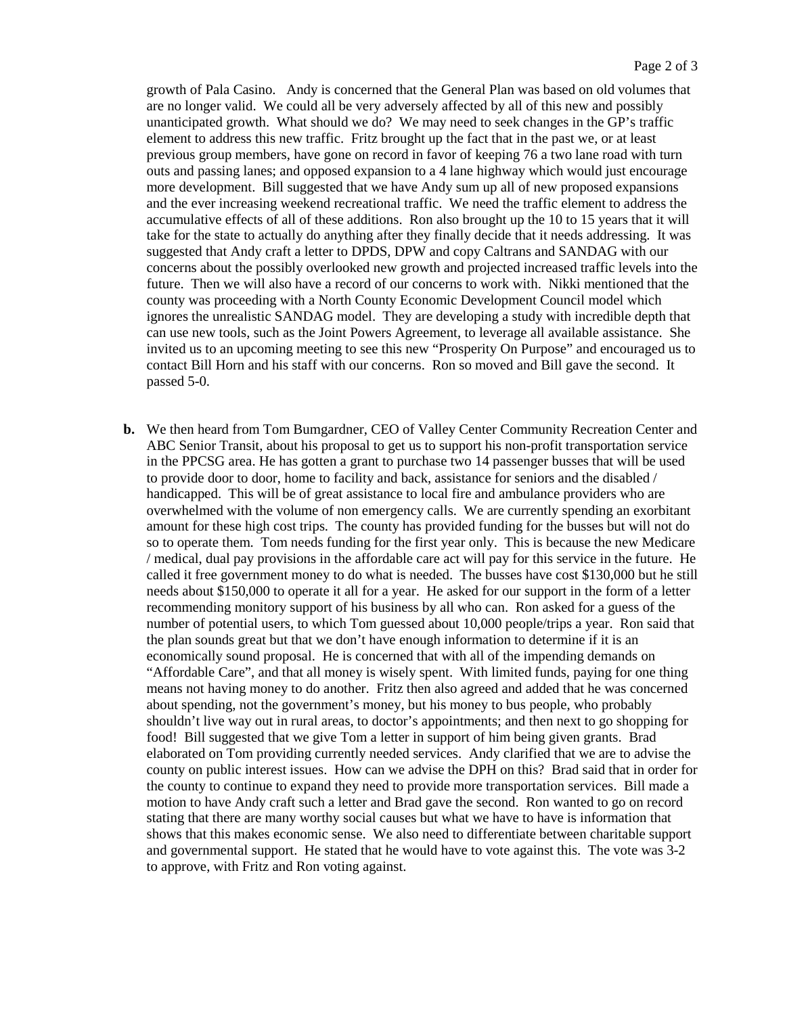growth of Pala Casino. Andy is concerned that the General Plan was based on old volumes that are no longer valid. We could all be very adversely affected by all of this new and possibly unanticipated growth. What should we do? We may need to seek changes in the GP's traffic element to address this new traffic. Fritz brought up the fact that in the past we, or at least previous group members, have gone on record in favor of keeping 76 a two lane road with turn outs and passing lanes; and opposed expansion to a 4 lane highway which would just encourage more development. Bill suggested that we have Andy sum up all of new proposed expansions and the ever increasing weekend recreational traffic. We need the traffic element to address the accumulative effects of all of these additions. Ron also brought up the 10 to 15 years that it will take for the state to actually do anything after they finally decide that it needs addressing. It was suggested that Andy craft a letter to DPDS, DPW and copy Caltrans and SANDAG with our concerns about the possibly overlooked new growth and projected increased traffic levels into the future. Then we will also have a record of our concerns to work with. Nikki mentioned that the county was proceeding with a North County Economic Development Council model which ignores the unrealistic SANDAG model. They are developing a study with incredible depth that can use new tools, such as the Joint Powers Agreement, to leverage all available assistance. She invited us to an upcoming meeting to see this new "Prosperity On Purpose" and encouraged us to contact Bill Horn and his staff with our concerns. Ron so moved and Bill gave the second. It passed 5-0.

**b.** We then heard from Tom Bumgardner, CEO of Valley Center Community Recreation Center and ABC Senior Transit, about his proposal to get us to support his non-profit transportation service in the PPCSG area. He has gotten a grant to purchase two 14 passenger busses that will be used to provide door to door, home to facility and back, assistance for seniors and the disabled / handicapped. This will be of great assistance to local fire and ambulance providers who are overwhelmed with the volume of non emergency calls. We are currently spending an exorbitant amount for these high cost trips. The county has provided funding for the busses but will not do so to operate them. Tom needs funding for the first year only. This is because the new Medicare / medical, dual pay provisions in the affordable care act will pay for this service in the future. He called it free government money to do what is needed. The busses have cost \$130,000 but he still needs about \$150,000 to operate it all for a year. He asked for our support in the form of a letter recommending monitory support of his business by all who can. Ron asked for a guess of the number of potential users, to which Tom guessed about 10,000 people/trips a year. Ron said that the plan sounds great but that we don't have enough information to determine if it is an economically sound proposal. He is concerned that with all of the impending demands on "Affordable Care", and that all money is wisely spent. With limited funds, paying for one thing means not having money to do another. Fritz then also agreed and added that he was concerned about spending, not the government's money, but his money to bus people, who probably shouldn't live way out in rural areas, to doctor's appointments; and then next to go shopping for food! Bill suggested that we give Tom a letter in support of him being given grants. Brad elaborated on Tom providing currently needed services. Andy clarified that we are to advise the county on public interest issues. How can we advise the DPH on this? Brad said that in order for the county to continue to expand they need to provide more transportation services. Bill made a motion to have Andy craft such a letter and Brad gave the second. Ron wanted to go on record stating that there are many worthy social causes but what we have to have is information that shows that this makes economic sense. We also need to differentiate between charitable support and governmental support. He stated that he would have to vote against this. The vote was 3-2 to approve, with Fritz and Ron voting against.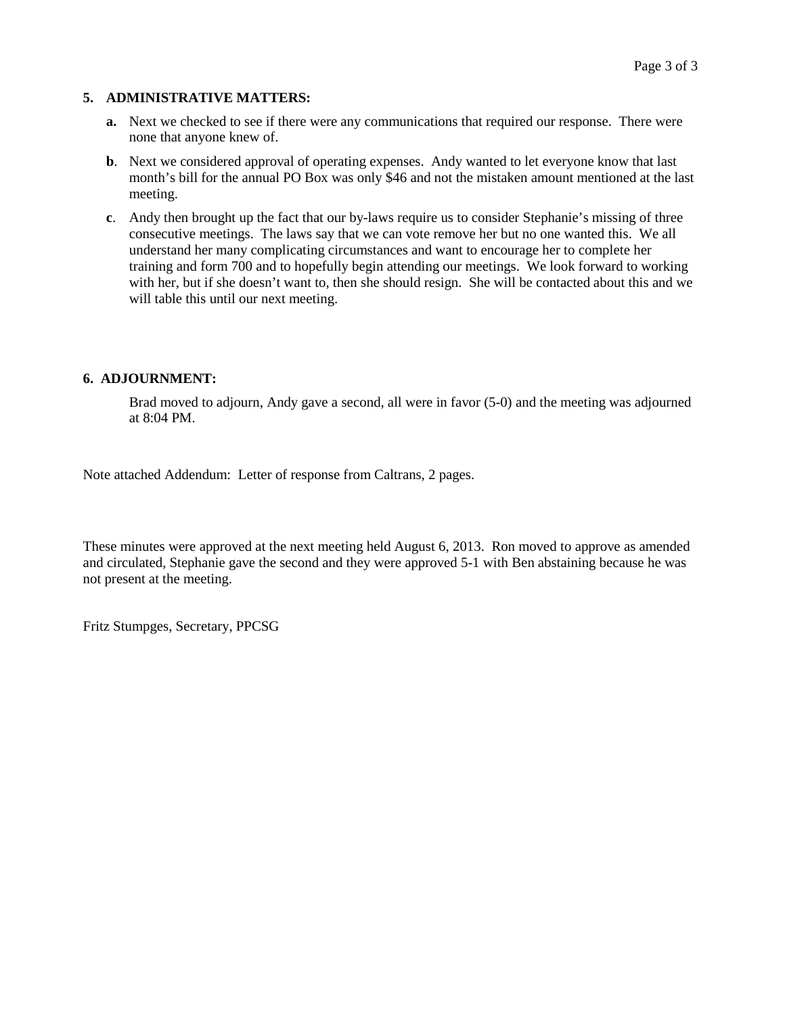## **5. ADMINISTRATIVE MATTERS:**

- **a.** Next we checked to see if there were any communications that required our response. There were none that anyone knew of.
- **b**. Next we considered approval of operating expenses. Andy wanted to let everyone know that last month's bill for the annual PO Box was only \$46 and not the mistaken amount mentioned at the last meeting.
- **c**. Andy then brought up the fact that our by-laws require us to consider Stephanie's missing of three consecutive meetings. The laws say that we can vote remove her but no one wanted this. We all understand her many complicating circumstances and want to encourage her to complete her training and form 700 and to hopefully begin attending our meetings. We look forward to working with her, but if she doesn't want to, then she should resign. She will be contacted about this and we will table this until our next meeting.

#### **6. ADJOURNMENT:**

Brad moved to adjourn, Andy gave a second, all were in favor (5-0) and the meeting was adjourned at 8:04 PM.

Note attached Addendum: Letter of response from Caltrans, 2 pages.

These minutes were approved at the next meeting held August 6, 2013. Ron moved to approve as amended and circulated, Stephanie gave the second and they were approved 5-1 with Ben abstaining because he was not present at the meeting.

Fritz Stumpges, Secretary, PPCSG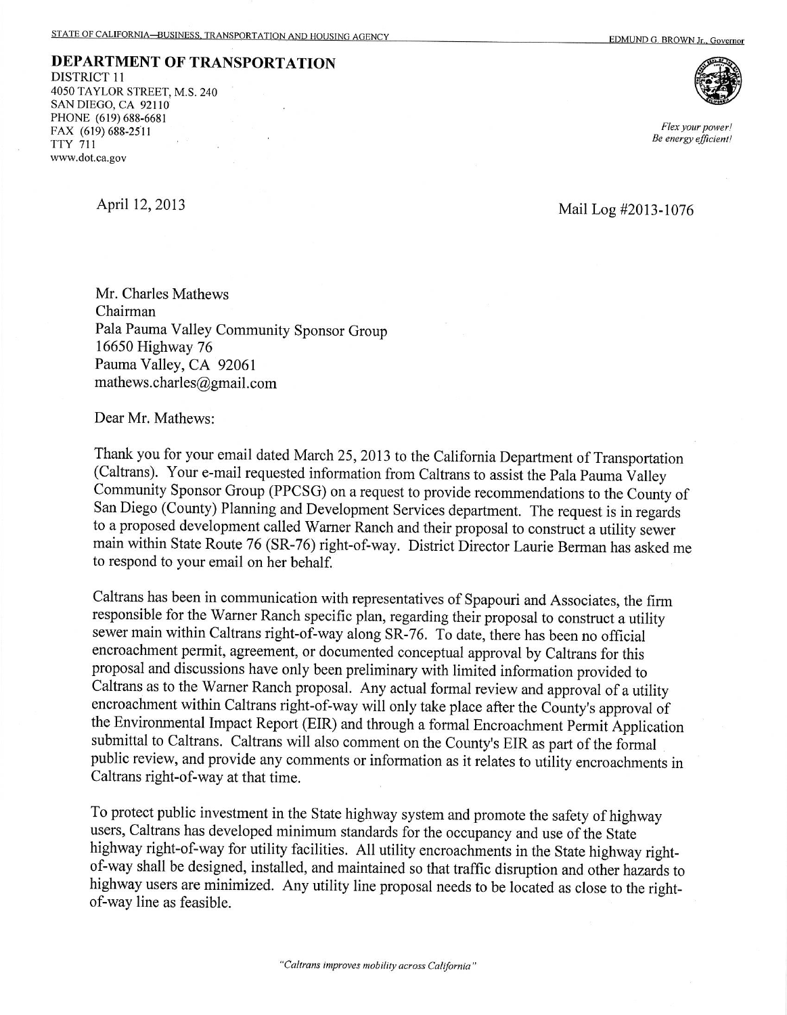DEPARTMENT OF TRANSPORTATION **DISTRICT 11** 4050 TAYLOR STREET, M.S. 240 SAN DIEGO, CA 92110 PHONE (619) 688-6681 FAX (619) 688-2511 **TTY 711** www.dot.ca.gov



Flex your power! Be energy efficient!

April 12, 2013

Mail Log #2013-1076

Mr. Charles Mathews Chairman Pala Pauma Valley Community Sponsor Group 16650 Highway 76 Pauma Valley, CA 92061 mathews.charles@gmail.com

Dear Mr. Mathews:

Thank you for your email dated March 25, 2013 to the California Department of Transportation (Caltrans). Your e-mail requested information from Caltrans to assist the Pala Pauma Valley Community Sponsor Group (PPCSG) on a request to provide recommendations to the County of San Diego (County) Planning and Development Services department. The request is in regards to a proposed development called Warner Ranch and their proposal to construct a utility sewer main within State Route 76 (SR-76) right-of-way. District Director Laurie Berman has asked me to respond to your email on her behalf.

Caltrans has been in communication with representatives of Spapouri and Associates, the firm responsible for the Warner Ranch specific plan, regarding their proposal to construct a utility sewer main within Caltrans right-of-way along SR-76. To date, there has been no official encroachment permit, agreement, or documented conceptual approval by Caltrans for this proposal and discussions have only been preliminary with limited information provided to Caltrans as to the Warner Ranch proposal. Any actual formal review and approval of a utility encroachment within Caltrans right-of-way will only take place after the County's approval of the Environmental Impact Report (EIR) and through a formal Encroachment Permit Application submittal to Caltrans. Caltrans will also comment on the County's EIR as part of the formal public review, and provide any comments or information as it relates to utility encroachments in Caltrans right-of-way at that time.

To protect public investment in the State highway system and promote the safety of highway users, Caltrans has developed minimum standards for the occupancy and use of the State highway right-of-way for utility facilities. All utility encroachments in the State highway rightof-way shall be designed, installed, and maintained so that traffic disruption and other hazards to highway users are minimized. Any utility line proposal needs to be located as close to the rightof-way line as feasible.